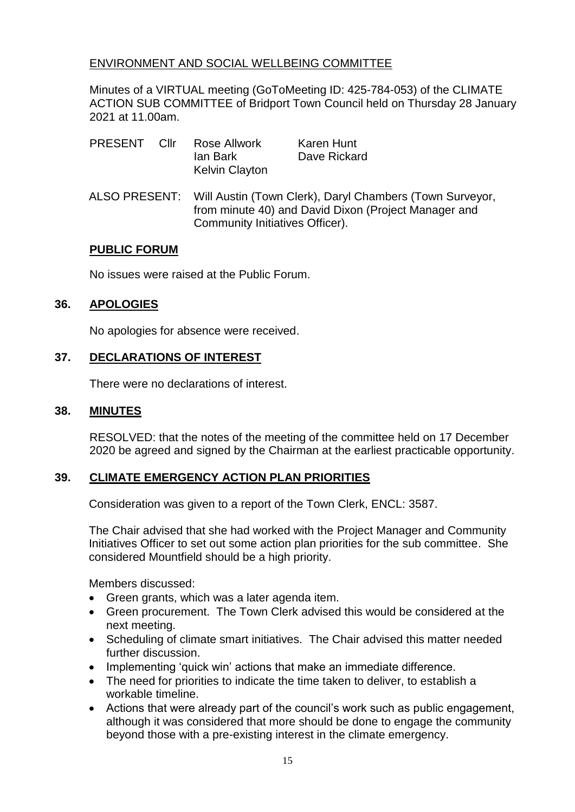## ENVIRONMENT AND SOCIAL WELLBEING COMMITTEE

Minutes of a VIRTUAL meeting (GoToMeeting ID: 425-784-053) of the CLIMATE ACTION SUB COMMITTEE of Bridport Town Council held on Thursday 28 January 2021 at 11.00am.

| <b>PRESENT</b> | Cllr | Rose Allwork          | Karen Hunt   |
|----------------|------|-----------------------|--------------|
|                |      | lan Bark              | Dave Rickard |
|                |      | <b>Kelvin Clayton</b> |              |

ALSO PRESENT: Will Austin (Town Clerk), Daryl Chambers (Town Surveyor, from minute 40) and David Dixon (Project Manager and Community Initiatives Officer).

#### **PUBLIC FORUM**

No issues were raised at the Public Forum.

## **36. APOLOGIES**

No apologies for absence were received.

## **37. DECLARATIONS OF INTEREST**

There were no declarations of interest.

#### **38. MINUTES**

RESOLVED: that the notes of the meeting of the committee held on 17 December 2020 be agreed and signed by the Chairman at the earliest practicable opportunity.

## **39. CLIMATE EMERGENCY ACTION PLAN PRIORITIES**

Consideration was given to a report of the Town Clerk, ENCL: 3587.

The Chair advised that she had worked with the Project Manager and Community Initiatives Officer to set out some action plan priorities for the sub committee. She considered Mountfield should be a high priority.

Members discussed:

- Green grants, which was a later agenda item.
- Green procurement. The Town Clerk advised this would be considered at the next meeting.
- Scheduling of climate smart initiatives. The Chair advised this matter needed further discussion.
- Implementing 'quick win' actions that make an immediate difference.
- The need for priorities to indicate the time taken to deliver, to establish a workable timeline.
- Actions that were already part of the council's work such as public engagement, although it was considered that more should be done to engage the community beyond those with a pre-existing interest in the climate emergency.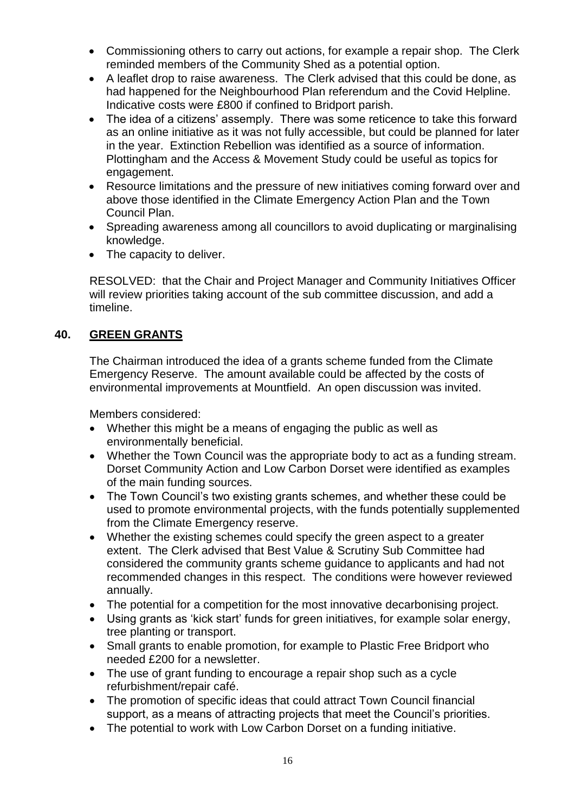- Commissioning others to carry out actions, for example a repair shop. The Clerk reminded members of the Community Shed as a potential option.
- A leaflet drop to raise awareness. The Clerk advised that this could be done, as had happened for the Neighbourhood Plan referendum and the Covid Helpline. Indicative costs were £800 if confined to Bridport parish.
- The idea of a citizens' assemply. There was some reticence to take this forward as an online initiative as it was not fully accessible, but could be planned for later in the year. Extinction Rebellion was identified as a source of information. Plottingham and the Access & Movement Study could be useful as topics for engagement.
- Resource limitations and the pressure of new initiatives coming forward over and above those identified in the Climate Emergency Action Plan and the Town Council Plan.
- Spreading awareness among all councillors to avoid duplicating or marginalising knowledge.
- The capacity to deliver.

RESOLVED: that the Chair and Project Manager and Community Initiatives Officer will review priorities taking account of the sub committee discussion, and add a timeline.

## **40. GREEN GRANTS**

The Chairman introduced the idea of a grants scheme funded from the Climate Emergency Reserve. The amount available could be affected by the costs of environmental improvements at Mountfield. An open discussion was invited.

Members considered:

- Whether this might be a means of engaging the public as well as environmentally beneficial.
- Whether the Town Council was the appropriate body to act as a funding stream. Dorset Community Action and Low Carbon Dorset were identified as examples of the main funding sources.
- The Town Council's two existing grants schemes, and whether these could be used to promote environmental projects, with the funds potentially supplemented from the Climate Emergency reserve.
- Whether the existing schemes could specify the green aspect to a greater extent. The Clerk advised that Best Value & Scrutiny Sub Committee had considered the community grants scheme guidance to applicants and had not recommended changes in this respect. The conditions were however reviewed annually.
- The potential for a competition for the most innovative decarbonising project.
- Using grants as 'kick start' funds for green initiatives, for example solar energy, tree planting or transport.
- Small grants to enable promotion, for example to Plastic Free Bridport who needed £200 for a newsletter.
- The use of grant funding to encourage a repair shop such as a cycle refurbishment/repair café.
- The promotion of specific ideas that could attract Town Council financial support, as a means of attracting projects that meet the Council's priorities.
- The potential to work with Low Carbon Dorset on a funding initiative.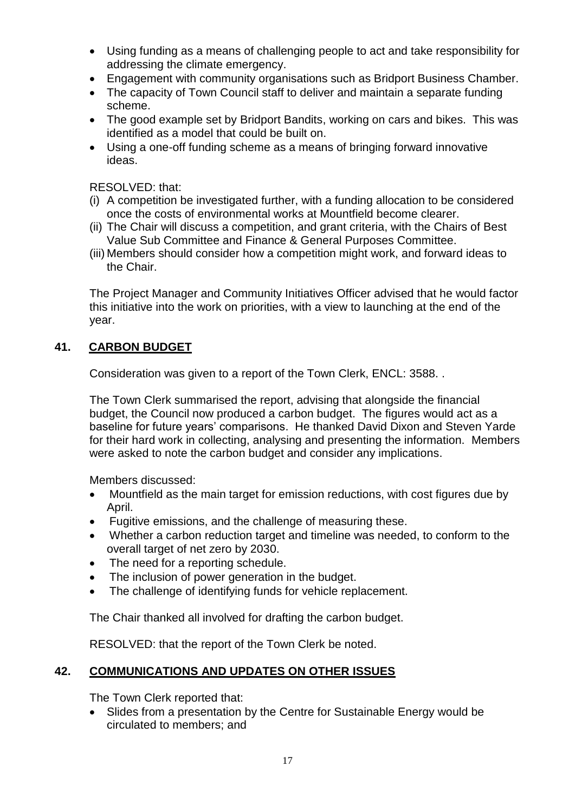- Using funding as a means of challenging people to act and take responsibility for addressing the climate emergency.
- Engagement with community organisations such as Bridport Business Chamber.
- The capacity of Town Council staff to deliver and maintain a separate funding scheme.
- The good example set by Bridport Bandits, working on cars and bikes. This was identified as a model that could be built on.
- Using a one-off funding scheme as a means of bringing forward innovative ideas.

RESOLVED: that:

- (i) A competition be investigated further, with a funding allocation to be considered once the costs of environmental works at Mountfield become clearer.
- (ii) The Chair will discuss a competition, and grant criteria, with the Chairs of Best Value Sub Committee and Finance & General Purposes Committee.
- (iii) Members should consider how a competition might work, and forward ideas to the Chair.

The Project Manager and Community Initiatives Officer advised that he would factor this initiative into the work on priorities, with a view to launching at the end of the year.

# **41. CARBON BUDGET**

Consideration was given to a report of the Town Clerk, ENCL: 3588. .

The Town Clerk summarised the report, advising that alongside the financial budget, the Council now produced a carbon budget. The figures would act as a baseline for future years' comparisons. He thanked David Dixon and Steven Yarde for their hard work in collecting, analysing and presenting the information. Members were asked to note the carbon budget and consider any implications.

Members discussed:

- Mountfield as the main target for emission reductions, with cost figures due by April.
- Fugitive emissions, and the challenge of measuring these.
- Whether a carbon reduction target and timeline was needed, to conform to the overall target of net zero by 2030.
- The need for a reporting schedule.
- The inclusion of power generation in the budget.
- The challenge of identifying funds for vehicle replacement.

The Chair thanked all involved for drafting the carbon budget.

RESOLVED: that the report of the Town Clerk be noted.

# **42. COMMUNICATIONS AND UPDATES ON OTHER ISSUES**

The Town Clerk reported that:

• Slides from a presentation by the Centre for Sustainable Energy would be circulated to members; and